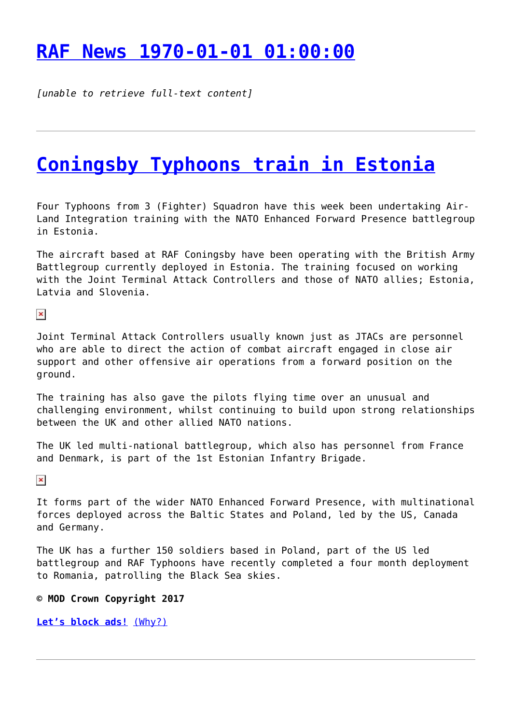## **[RAF News 1970-01-01 01:00:00](http://www.government-world.com/raf-news-1970-01-01-010000/)**

*[unable to retrieve full-text content]*

## **[Coningsby Typhoons train in Estonia](http://www.government-world.com/coningsby-typhoons-train-in-estonia/)**

Four Typhoons from 3 (Fighter) Squadron have this week been undertaking Air-Land Integration training with the NATO Enhanced Forward Presence battlegroup in Estonia.

The aircraft based at RAF Coningsby have been operating with the British Army Battlegroup currently deployed in Estonia. The training focused on working with the Joint Terminal Attack Controllers and those of NATO allies; Estonia, Latvia and Slovenia.

 $\pmb{\times}$ 

Joint Terminal Attack Controllers usually known just as JTACs are personnel who are able to direct the action of combat aircraft engaged in close air support and other offensive air operations from a forward position on the ground.

The training has also gave the pilots flying time over an unusual and challenging environment, whilst continuing to build upon strong relationships between the UK and other allied NATO nations.

The UK led multi-national battlegroup, which also has personnel from France and Denmark, is part of the 1st Estonian Infantry Brigade.

 $\pmb{\times}$ 

It forms part of the wider NATO Enhanced Forward Presence, with multinational forces deployed across the Baltic States and Poland, led by the US, Canada and Germany.

The UK has a further 150 soldiers based in Poland, part of the US led battlegroup and RAF Typhoons have recently completed a four month deployment to Romania, patrolling the Black Sea skies.

#### **© MOD Crown Copyright 2017**

**[Let's block ads!](https://blockads.fivefilters.org/)** [\(Why?\)](https://blockads.fivefilters.org/acceptable.html)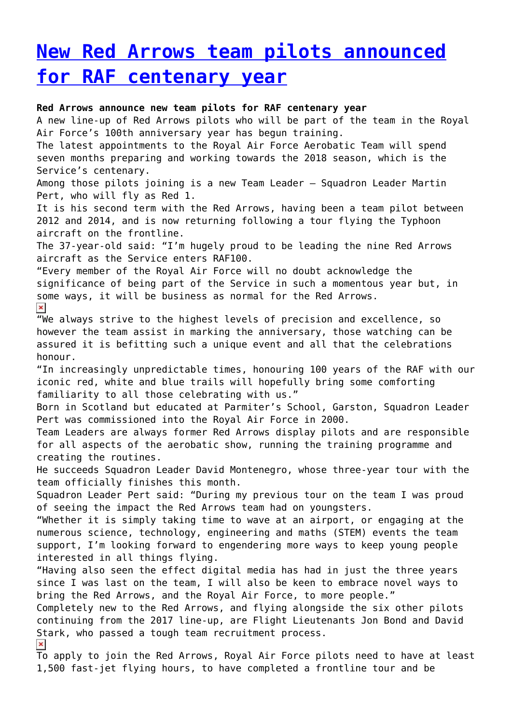# **[New Red Arrows team pilots announced](http://www.government-world.com/new-red-arrows-team-pilots-announced-for-raf-centenary-year/) [for RAF centenary year](http://www.government-world.com/new-red-arrows-team-pilots-announced-for-raf-centenary-year/)**

#### **Red Arrows announce new team pilots for RAF centenary year**

A new line-up of Red Arrows pilots who will be part of the team in the Royal Air Force's 100th anniversary year has begun training.

The latest appointments to the Royal Air Force Aerobatic Team will spend seven months preparing and working towards the 2018 season, which is the Service's centenary.

Among those pilots joining is a new Team Leader – Squadron Leader Martin Pert, who will fly as Red 1.

It is his second term with the Red Arrows, having been a team pilot between 2012 and 2014, and is now returning following a tour flying the Typhoon aircraft on the frontline.

The 37-year-old said: "I'm hugely proud to be leading the nine Red Arrows aircraft as the Service enters RAF100.

"Every member of the Royal Air Force will no doubt acknowledge the significance of being part of the Service in such a momentous year but, in some ways, it will be business as normal for the Red Arrows.

 $\pmb{\times}$ 

We always strive to the highest levels of precision and excellence, so however the team assist in marking the anniversary, those watching can be assured it is befitting such a unique event and all that the celebrations honour.

"In increasingly unpredictable times, honouring 100 years of the RAF with our iconic red, white and blue trails will hopefully bring some comforting familiarity to all those celebrating with us."

Born in Scotland but educated at Parmiter's School, Garston, Squadron Leader Pert was commissioned into the Royal Air Force in 2000.

Team Leaders are always former Red Arrows display pilots and are responsible for all aspects of the aerobatic show, running the training programme and creating the routines.

He succeeds Squadron Leader David Montenegro, whose three-year tour with the team officially finishes this month.

Squadron Leader Pert said: "During my previous tour on the team I was proud of seeing the impact the Red Arrows team had on youngsters.

"Whether it is simply taking time to wave at an airport, or engaging at the numerous science, technology, engineering and maths (STEM) events the team support, I'm looking forward to engendering more ways to keep young people interested in all things flying.

"Having also seen the effect digital media has had in just the three years since I was last on the team, I will also be keen to embrace novel ways to bring the Red Arrows, and the Royal Air Force, to more people."

Completely new to the Red Arrows, and flying alongside the six other pilots continuing from the 2017 line-up, are Flight Lieutenants Jon Bond and David Stark, who passed a tough team recruitment process.

 $\pmb{\times}$ 

To apply to join the Red Arrows, Royal Air Force pilots need to have at least 1,500 fast-jet flying hours, to have completed a frontline tour and be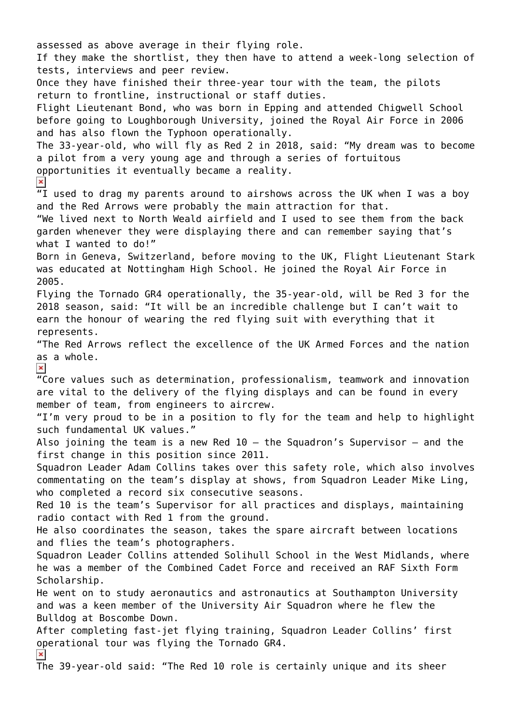assessed as above average in their flying role. If they make the shortlist, they then have to attend a week-long selection of tests, interviews and peer review. Once they have finished their three-year tour with the team, the pilots return to frontline, instructional or staff duties. Flight Lieutenant Bond, who was born in Epping and attended Chigwell School before going to Loughborough University, joined the Royal Air Force in 2006 and has also flown the Typhoon operationally. The 33-year-old, who will fly as Red 2 in 2018, said: "My dream was to become a pilot from a very young age and through a series of fortuitous opportunities it eventually became a reality.  $\pmb{\times}$  $\overline{u}$  used to drag my parents around to airshows across the UK when I was a boy and the Red Arrows were probably the main attraction for that. "We lived next to North Weald airfield and I used to see them from the back garden whenever they were displaying there and can remember saying that's what I wanted to do!" Born in Geneva, Switzerland, before moving to the UK, Flight Lieutenant Stark was educated at Nottingham High School. He joined the Royal Air Force in 2005. Flying the Tornado GR4 operationally, the 35-year-old, will be Red 3 for the 2018 season, said: "It will be an incredible challenge but I can't wait to earn the honour of wearing the red flying suit with everything that it represents. "The Red Arrows reflect the excellence of the UK Armed Forces and the nation as a whole.  $\pmb{\times}$ "Core values such as determination, professionalism, teamwork and innovation are vital to the delivery of the flying displays and can be found in every member of team, from engineers to aircrew. "I'm very proud to be in a position to fly for the team and help to highlight such fundamental UK values." Also joining the team is a new Red  $10 -$  the Squadron's Supervisor – and the first change in this position since 2011. Squadron Leader Adam Collins takes over this safety role, which also involves commentating on the team's display at shows, from Squadron Leader Mike Ling, who completed a record six consecutive seasons. Red 10 is the team's Supervisor for all practices and displays, maintaining radio contact with Red 1 from the ground. He also coordinates the season, takes the spare aircraft between locations and flies the team's photographers. Squadron Leader Collins attended Solihull School in the West Midlands, where he was a member of the Combined Cadet Force and received an RAF Sixth Form Scholarship. He went on to study aeronautics and astronautics at Southampton University and was a keen member of the University Air Squadron where he flew the Bulldog at Boscombe Down. After completing fast-jet flying training, Squadron Leader Collins' first operational tour was flying the Tornado GR4.  $\pmb{\times}$ The 39-year-old said: "The Red 10 role is certainly unique and its sheer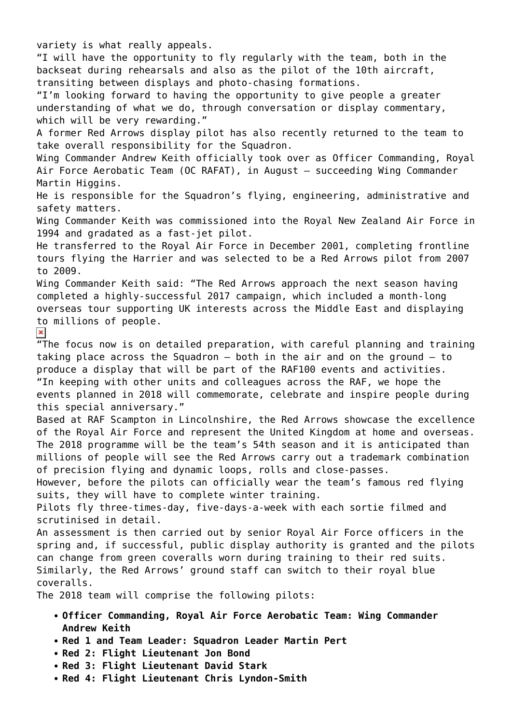variety is what really appeals. "I will have the opportunity to fly regularly with the team, both in the backseat during rehearsals and also as the pilot of the 10th aircraft, transiting between displays and photo-chasing formations. "I'm looking forward to having the opportunity to give people a greater understanding of what we do, through conversation or display commentary, which will be very rewarding." A former Red Arrows display pilot has also recently returned to the team to take overall responsibility for the Squadron. Wing Commander Andrew Keith officially took over as Officer Commanding, Royal Air Force Aerobatic Team (OC RAFAT), in August – succeeding Wing Commander Martin Higgins. He is responsible for the Squadron's flying, engineering, administrative and safety matters. Wing Commander Keith was commissioned into the Royal New Zealand Air Force in 1994 and gradated as a fast-jet pilot. He transferred to the Royal Air Force in December 2001, completing frontline tours flying the Harrier and was selected to be a Red Arrows pilot from 2007 to 2009. Wing Commander Keith said: "The Red Arrows approach the next season having completed a highly-successful 2017 campaign, which included a month-long overseas tour supporting UK interests across the Middle East and displaying to millions of people.  $\pmb{\times}$ "The focus now is on detailed preparation, with careful planning and training taking place across the Squadron – both in the air and on the ground – to produce a display that will be part of the RAF100 events and activities. "In keeping with other units and colleagues across the RAF, we hope the events planned in 2018 will commemorate, celebrate and inspire people during this special anniversary." Based at RAF Scampton in Lincolnshire, the Red Arrows showcase the excellence of the Royal Air Force and represent the United Kingdom at home and overseas. The 2018 programme will be the team's 54th season and it is anticipated than millions of people will see the Red Arrows carry out a trademark combination of precision flying and dynamic loops, rolls and close-passes. However, before the pilots can officially wear the team's famous red flying suits, they will have to complete winter training. Pilots fly three-times-day, five-days-a-week with each sortie filmed and scrutinised in detail. An assessment is then carried out by senior Royal Air Force officers in the spring and, if successful, public display authority is granted and the pilots can change from green coveralls worn during training to their red suits. Similarly, the Red Arrows' ground staff can switch to their royal blue coveralls. The 2018 team will comprise the following pilots: **Officer Commanding, Royal Air Force Aerobatic Team: Wing Commander Andrew Keith**

- **Red 1 and Team Leader: Squadron Leader Martin Pert**
- **Red 2: Flight Lieutenant Jon Bond**
- **Red 3: Flight Lieutenant David Stark**
- **Red 4: Flight Lieutenant Chris Lyndon-Smith**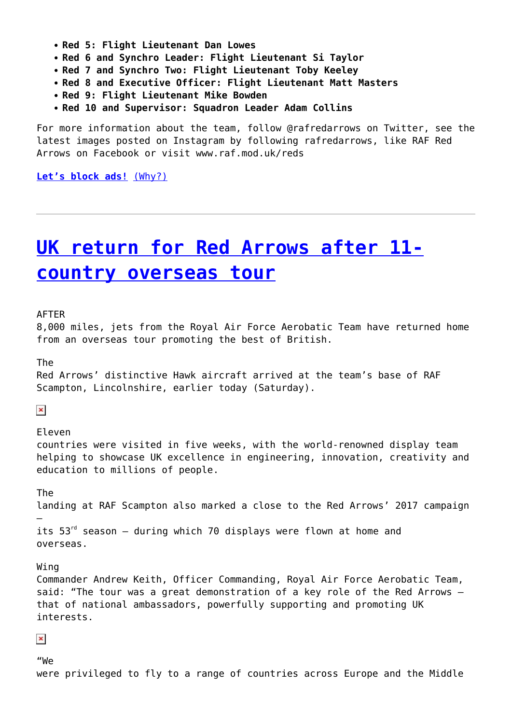- **Red 5: Flight Lieutenant Dan Lowes**
- **Red 6 and Synchro Leader: Flight Lieutenant Si Taylor**
- **Red 7 and Synchro Two: Flight Lieutenant Toby Keeley**
- **Red 8 and Executive Officer: Flight Lieutenant Matt Masters**
- **Red 9: Flight Lieutenant Mike Bowden**
- **Red 10 and Supervisor: Squadron Leader Adam Collins**

For more information about the team, follow @rafredarrows on Twitter, see the latest images posted on Instagram by following rafredarrows, like RAF Red Arrows on Facebook or visit www.raf.mod.uk/reds

**[Let's block ads!](https://blockads.fivefilters.org/)** [\(Why?\)](https://blockads.fivefilters.org/acceptable.html)

## **[UK return for Red Arrows after 11](http://www.government-world.com/uk-return-for-red-arrows-after-11-country-overseas-tour/) [country overseas tour](http://www.government-world.com/uk-return-for-red-arrows-after-11-country-overseas-tour/)**

AFTER

8,000 miles, jets from the Royal Air Force Aerobatic Team have returned home from an overseas tour promoting the best of British.

The

Red Arrows' distinctive Hawk aircraft arrived at the team's base of RAF Scampton, Lincolnshire, earlier today (Saturday).

 $\pmb{\times}$ 

Eleven

countries were visited in five weeks, with the world-renowned display team helping to showcase UK excellence in engineering, innovation, creativity and education to millions of people.

The

–

landing at RAF Scampton also marked a close to the Red Arrows' 2017 campaign

its  $53<sup>rd</sup>$  season – during which 70 displays were flown at home and overseas.

Wing

Commander Andrew Keith, Officer Commanding, Royal Air Force Aerobatic Team, said: "The tour was a great demonstration of a key role of the Red Arrows – that of national ambassadors, powerfully supporting and promoting UK interests.

 $\pmb{\times}$ 

"We were privileged to fly to a range of countries across Europe and the Middle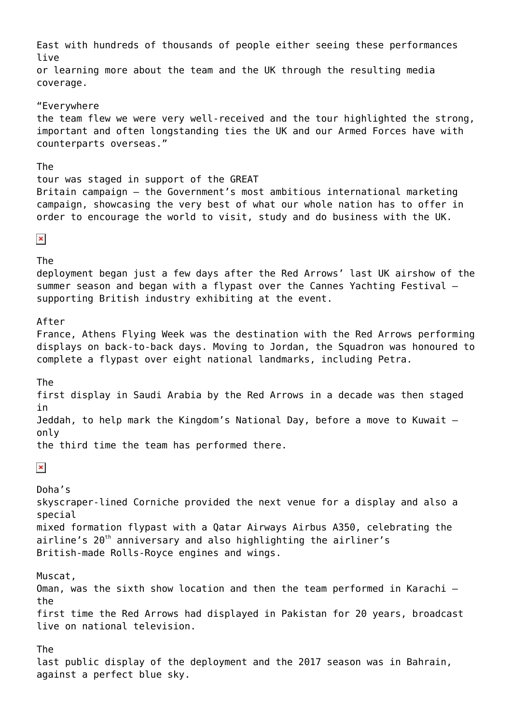East with hundreds of thousands of people either seeing these performances live or learning more about the team and the UK through the resulting media coverage. "Everywhere the team flew we were very well-received and the tour highlighted the strong, important and often longstanding ties the UK and our Armed Forces have with counterparts overseas." The tour was staged in support of the GREAT Britain campaign – the Government's most ambitious international marketing campaign, showcasing the very best of what our whole nation has to offer in order to encourage the world to visit, study and do business with the UK.  $\pmb{\times}$ The deployment began just a few days after the Red Arrows' last UK airshow of the summer season and began with a flypast over the Cannes Yachting Festival – supporting British industry exhibiting at the event. After France, Athens Flying Week was the destination with the Red Arrows performing displays on back-to-back days. Moving to Jordan, the Squadron was honoured to complete a flypast over eight national landmarks, including Petra. The first display in Saudi Arabia by the Red Arrows in a decade was then staged in Jeddah, to help mark the Kingdom's National Day, before a move to Kuwait – only the third time the team has performed there.  $\pmb{\times}$ Doha's skyscraper-lined Corniche provided the next venue for a display and also a special mixed formation flypast with a Qatar Airways Airbus A350, celebrating the airline's  $20<sup>th</sup>$  anniversary and also highlighting the airliner's British-made Rolls-Royce engines and wings. Muscat, Oman, was the sixth show location and then the team performed in Karachi – the first time the Red Arrows had displayed in Pakistan for 20 years, broadcast live on national television. The last public display of the deployment and the 2017 season was in Bahrain, against a perfect blue sky.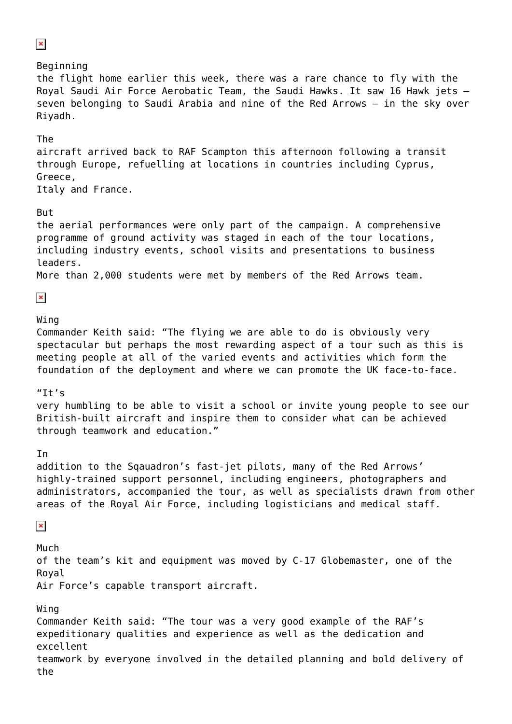$\pmb{\times}$ Beginning the flight home earlier this week, there was a rare chance to fly with the Royal Saudi Air Force Aerobatic Team, the Saudi Hawks. It saw 16 Hawk jets – seven belonging to Saudi Arabia and nine of the Red Arrows – in the sky over Riyadh. The aircraft arrived back to RAF Scampton this afternoon following a transit through Europe, refuelling at locations in countries including Cyprus, Greece, Italy and France. But the aerial performances were only part of the campaign. A comprehensive programme of ground activity was staged in each of the tour locations, including industry events, school visits and presentations to business leaders. More than 2,000 students were met by members of the Red Arrows team.  $\pmb{\times}$ Wing Commander Keith said: "The flying we are able to do is obviously very spectacular but perhaps the most rewarding aspect of a tour such as this is meeting people at all of the varied events and activities which form the foundation of the deployment and where we can promote the UK face-to-face.  $"It's$ very humbling to be able to visit a school or invite young people to see our British-built aircraft and inspire them to consider what can be achieved through teamwork and education." In addition to the Sqauadron's fast-jet pilots, many of the Red Arrows' highly-trained support personnel, including engineers, photographers and administrators, accompanied the tour, as well as specialists drawn from other areas of the Royal Air Force, including logisticians and medical staff.  $\pmb{\times}$ Much of the team's kit and equipment was moved by C-17 Globemaster, one of the Royal Air Force's capable transport aircraft. Wing Commander Keith said: "The tour was a very good example of the RAF's expeditionary qualities and experience as well as the dedication and excellent teamwork by everyone involved in the detailed planning and bold delivery of the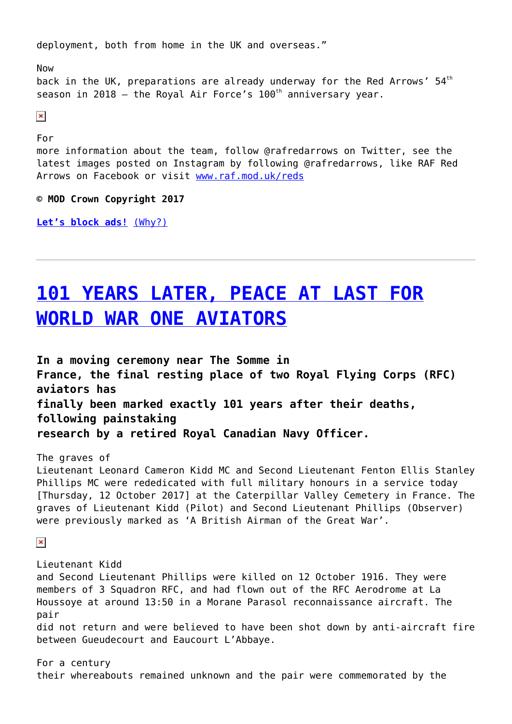deployment, both from home in the UK and overseas."

Now back in the UK, preparations are already underway for the Red Arrows'  $54<sup>th</sup>$ season in 2018 – the Royal Air Force's  $100<sup>th</sup>$  anniversary year.

 $\pmb{\times}$ 

For

more information about the team, follow @rafredarrows on Twitter, see the latest images posted on Instagram by following @rafredarrows, like RAF Red Arrows on Facebook or visit [www.raf.mod.uk/reds](http://www.raf.mod.uk/reds)

**© MOD Crown Copyright 2017**

**[Let's block ads!](https://blockads.fivefilters.org/)** [\(Why?\)](https://blockads.fivefilters.org/acceptable.html)

# **[101 YEARS LATER, PEACE AT LAST FOR](http://www.government-world.com/101-years-later-peace-at-last-for-world-war-one-aviators/) [WORLD WAR ONE AVIATORS](http://www.government-world.com/101-years-later-peace-at-last-for-world-war-one-aviators/)**

**In a moving ceremony near The Somme in France, the final resting place of two Royal Flying Corps (RFC) aviators has finally been marked exactly 101 years after their deaths, following painstaking research by a retired Royal Canadian Navy Officer.**

The graves of Lieutenant Leonard Cameron Kidd MC and Second Lieutenant Fenton Ellis Stanley Phillips MC were rededicated with full military honours in a service today [Thursday, 12 October 2017] at the Caterpillar Valley Cemetery in France. The graves of Lieutenant Kidd (Pilot) and Second Lieutenant Phillips (Observer) were previously marked as 'A British Airman of the Great War'.

 $\pmb{\times}$ 

Lieutenant Kidd and Second Lieutenant Phillips were killed on 12 October 1916. They were members of 3 Squadron RFC, and had flown out of the RFC Aerodrome at La Houssoye at around 13:50 in a Morane Parasol reconnaissance aircraft. The pair did not return and were believed to have been shot down by anti-aircraft fire between Gueudecourt and Eaucourt L'Abbaye.

For a century their whereabouts remained unknown and the pair were commemorated by the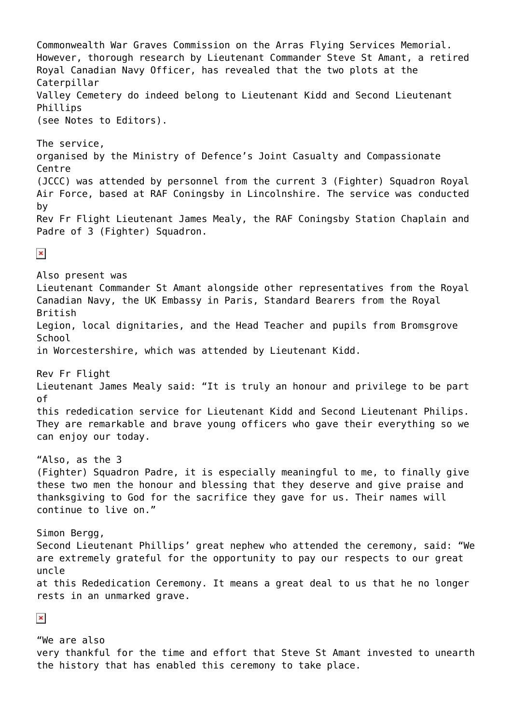Commonwealth War Graves Commission on the Arras Flying Services Memorial. However, thorough research by Lieutenant Commander Steve St Amant, a retired Royal Canadian Navy Officer, has revealed that the two plots at the **Caterpillar** Valley Cemetery do indeed belong to Lieutenant Kidd and Second Lieutenant Phillips (see Notes to Editors). The service, organised by the Ministry of Defence's Joint Casualty and Compassionate **Centre** (JCCC) was attended by personnel from the current 3 (Fighter) Squadron Royal Air Force, based at RAF Coningsby in Lincolnshire. The service was conducted by Rev Fr Flight Lieutenant James Mealy, the RAF Coningsby Station Chaplain and Padre of 3 (Fighter) Squadron.  $\pmb{\times}$ Also present was Lieutenant Commander St Amant alongside other representatives from the Royal Canadian Navy, the UK Embassy in Paris, Standard Bearers from the Royal British Legion, local dignitaries, and the Head Teacher and pupils from Bromsgrove School in Worcestershire, which was attended by Lieutenant Kidd. Rev Fr Flight Lieutenant James Mealy said: "It is truly an honour and privilege to be part of this rededication service for Lieutenant Kidd and Second Lieutenant Philips. They are remarkable and brave young officers who gave their everything so we can enjoy our today. "Also, as the 3 (Fighter) Squadron Padre, it is especially meaningful to me, to finally give these two men the honour and blessing that they deserve and give praise and thanksgiving to God for the sacrifice they gave for us. Their names will continue to live on." Simon Bergg, Second Lieutenant Phillips' great nephew who attended the ceremony, said: "We are extremely grateful for the opportunity to pay our respects to our great uncle at this Rededication Ceremony. It means a great deal to us that he no longer rests in an unmarked grave.  $\pmb{\times}$ "We are also

very thankful for the time and effort that Steve St Amant invested to unearth the history that has enabled this ceremony to take place.